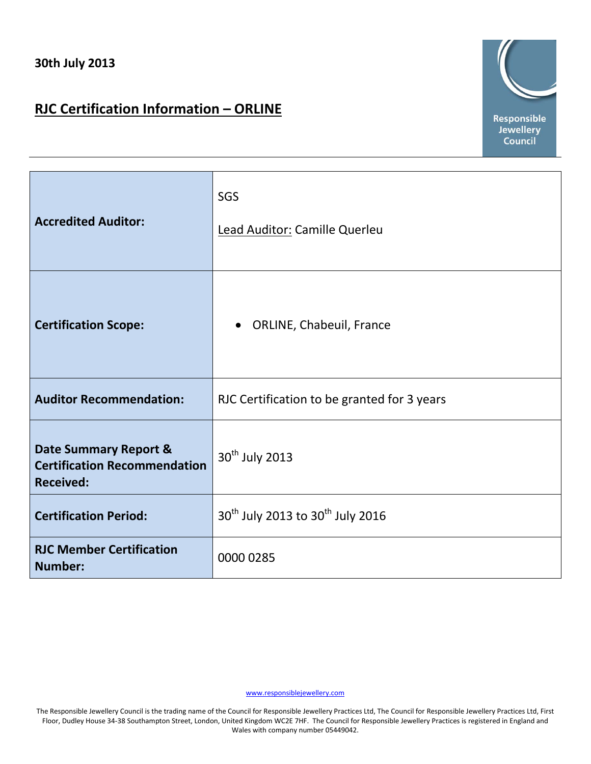## **RJC Certification Information – ORLINE**



| <b>Accredited Auditor:</b>                                                       | SGS<br>Lead Auditor: Camille Querleu                     |
|----------------------------------------------------------------------------------|----------------------------------------------------------|
| <b>Certification Scope:</b>                                                      | <b>ORLINE, Chabeuil, France</b><br>$\bullet$             |
| <b>Auditor Recommendation:</b>                                                   | RJC Certification to be granted for 3 years              |
| Date Summary Report &<br><b>Certification Recommendation</b><br><b>Received:</b> | 30 <sup>th</sup> July 2013                               |
| <b>Certification Period:</b>                                                     | 30 <sup>th</sup> July 2013 to 30 <sup>th</sup> July 2016 |
| <b>RJC Member Certification</b><br><b>Number:</b>                                | 0000 0285                                                |

[www.responsiblejewellery.com](http://www.responsiblejewellery.com/)

The Responsible Jewellery Council is the trading name of the Council for Responsible Jewellery Practices Ltd, The Council for Responsible Jewellery Practices Ltd, First Floor, Dudley House 34-38 Southampton Street, London, United Kingdom WC2E 7HF. The Council for Responsible Jewellery Practices is registered in England and Wales with company number 05449042.